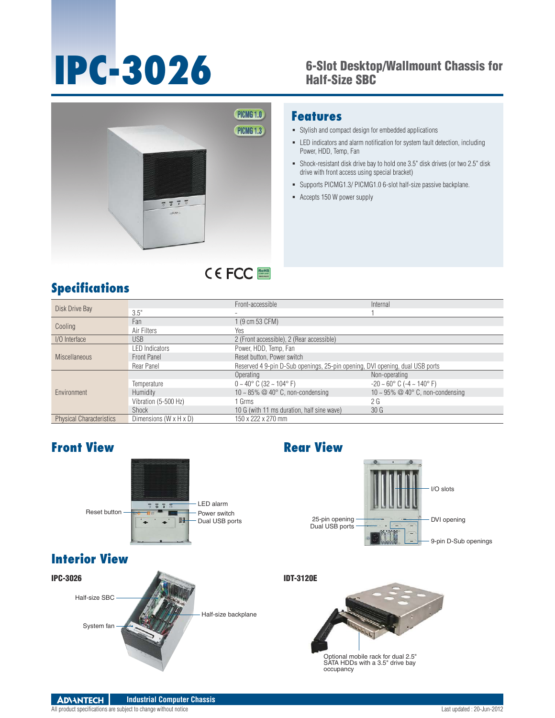## **IPC-3026** 6-Slot Desktop/Wallmount Chassis for Half-Size SBC



#### **Features**

- Stylish and compact design for embedded applications
- LED indicators and alarm notification for system fault detection, including Power, HDD, Temp, Fan
- Shock-resistant disk drive bay to hold one 3.5" disk drives (or two 2.5" disk drive with front access using special bracket)
- Supports PICMG1.3/ PICMG1.0 6-slot half-size passive backplane.
- Accepts 150 W power supply

# **Specifications**

| Disk Drive Bay                  |                        | Front-accessible                                                             | Internal                                           |  |
|---------------------------------|------------------------|------------------------------------------------------------------------------|----------------------------------------------------|--|
|                                 | 3.5"                   |                                                                              |                                                    |  |
| Cooling                         | Fan                    | 1 (9 cm 53 CFM)                                                              |                                                    |  |
|                                 | Air Filters            | <b>Yes</b>                                                                   |                                                    |  |
| I/O Interface                   | <b>USB</b>             | 2 (Front accessible), 2 (Rear accessible)                                    |                                                    |  |
| Miscellaneous                   | <b>LED Indicators</b>  | Power, HDD, Temp, Fan                                                        |                                                    |  |
|                                 | Front Panel            | Reset button, Power switch                                                   |                                                    |  |
|                                 | Rear Panel             | Reserved 4 9-pin D-Sub openings, 25-pin opening, DVI opening, dual USB ports |                                                    |  |
| Environment                     |                        | Operating                                                                    | Non-operating                                      |  |
|                                 | Temperature            | $0 \sim 40^{\circ}$ C (32 $\sim 104^{\circ}$ F)                              | $-20 \sim 60^{\circ}$ C ( $-4 \sim 140^{\circ}$ F) |  |
|                                 | <b>Humidity</b>        | 10 ~ 85% $@$ 40 $^{\circ}$ C, non-condensing                                 | 10 ~ 95% $\oslash$ 40° C, non-condensing           |  |
|                                 | Vibration (5-500 Hz)   | 1 Grms                                                                       | 2G                                                 |  |
|                                 | Shock                  | 10 G (with 11 ms duration, half sine wave)                                   | 30 <sub>G</sub>                                    |  |
| <b>Physical Characteristics</b> | Dimensions (W x H x D) | 150 x 222 x 270 mm                                                           |                                                    |  |

RoHS **COMPLIANT 2002/95/EC**

## **Front View Rear View**





### **Interior View**





Optional mobile rack for dual 2.5" SATA HDDs with a 3.5" drive bay occupancy